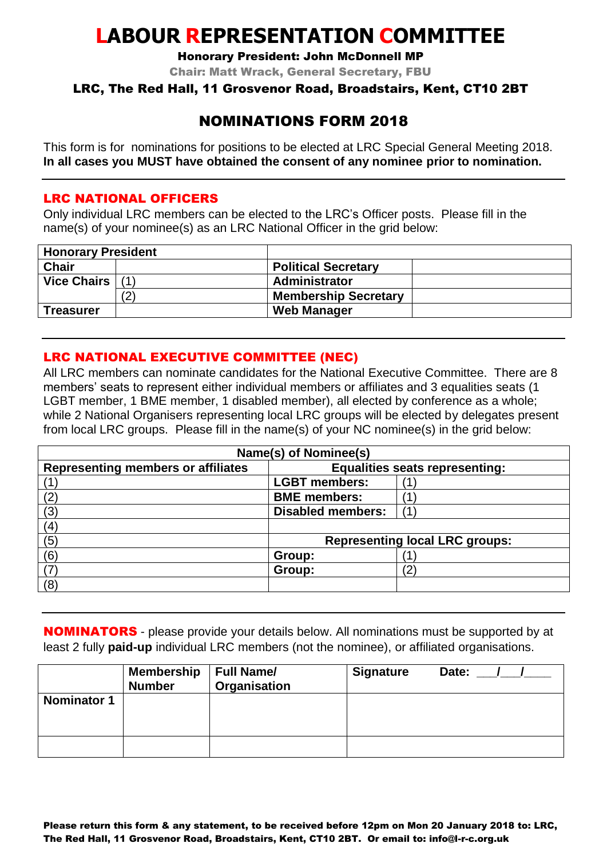# **LABOUR REPRESENTATION COMMITTEE**

Honorary President: John McDonnell MP

Chair: Matt Wrack, General Secretary, FBU

#### LRC, The Red Hall, 11 Grosvenor Road, Broadstairs, Kent, CT10 2BT

## NOMINATIONS FORM 2018

This form is for nominations for positions to be elected at LRC Special General Meeting 2018. **In all cases you MUST have obtained the consent of any nominee prior to nomination.**

#### LRC NATIONAL OFFICERS

Only individual LRC members can be elected to the LRC's Officer posts. Please fill in the name(s) of your nominee(s) as an LRC National Officer in the grid below:

| <b>Honorary President</b> |    |                             |  |
|---------------------------|----|-----------------------------|--|
| <b>Chair</b>              |    | <b>Political Secretary</b>  |  |
| Vice Chairs $(1)$         |    | Administrator               |  |
|                           | (2 | <b>Membership Secretary</b> |  |
| <b>Treasurer</b>          |    | <b>Web Manager</b>          |  |

### LRC NATIONAL EXECUTIVE COMMITTEE (NEC)

All LRC members can nominate candidates for the National Executive Committee. There are 8 members' seats to represent either individual members or affiliates and 3 equalities seats (1 LGBT member, 1 BME member, 1 disabled member), all elected by conference as a whole; while 2 National Organisers representing local LRC groups will be elected by delegates present from local LRC groups. Please fill in the name(s) of your NC nominee(s) in the grid below:

| Name(s) of Nominee(s)                     |                                       |     |  |
|-------------------------------------------|---------------------------------------|-----|--|
| <b>Representing members or affiliates</b> | <b>Equalities seats representing:</b> |     |  |
|                                           | <b>LGBT</b> members:                  |     |  |
| 12                                        | <b>BME</b> members:                   |     |  |
| (3)                                       | <b>Disabled members:</b>              | (1) |  |
| (4)                                       |                                       |     |  |
| (5)                                       | <b>Representing local LRC groups:</b> |     |  |
| (6)                                       | Group:                                |     |  |
|                                           | Group:                                | '2, |  |
| (8)                                       |                                       |     |  |

**NOMINATORS** - please provide your details below. All nominations must be supported by at least 2 fully **paid-up** individual LRC members (not the nominee), or affiliated organisations.

|                    | <b>Membership</b><br><b>Number</b> | <b>Full Name/</b><br>Organisation | <b>Signature</b> | Date: |
|--------------------|------------------------------------|-----------------------------------|------------------|-------|
| <b>Nominator 1</b> |                                    |                                   |                  |       |
|                    |                                    |                                   |                  |       |